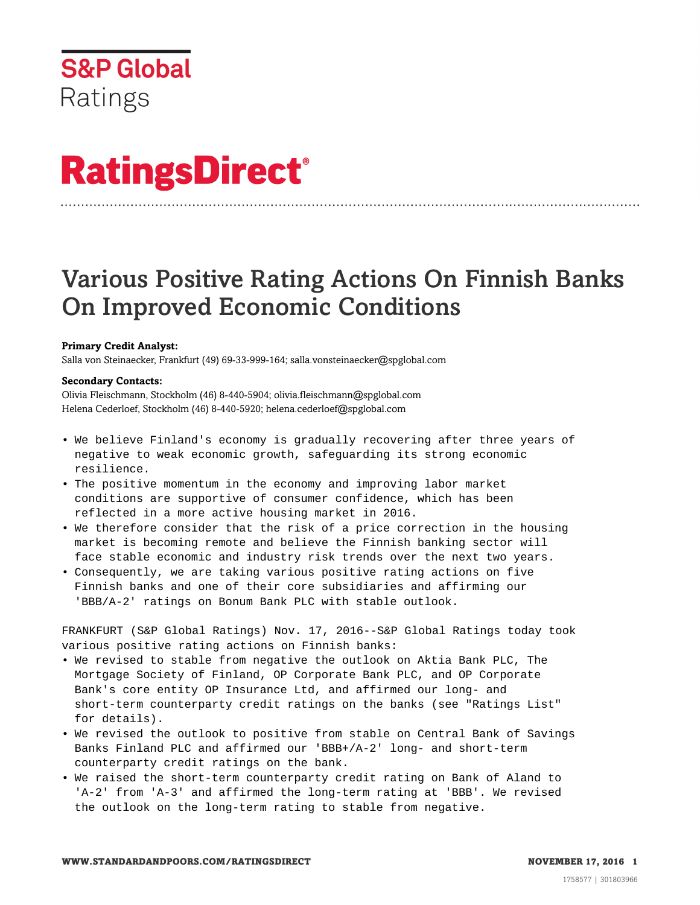# **RatingsDirect®**

# Various Positive Rating Actions On Finnish Banks On Improved Economic Conditions

# **Primary Credit Analyst:**

Salla von Steinaecker, Frankfurt (49) 69-33-999-164; salla.vonsteinaecker@spglobal.com

# **Secondary Contacts:**

Olivia Fleischmann, Stockholm (46) 8-440-5904; olivia.fleischmann@spglobal.com Helena Cederloef, Stockholm (46) 8-440-5920; helena.cederloef@spglobal.com

- We believe Finland's economy is gradually recovering after three years of negative to weak economic growth, safeguarding its strong economic resilience.
- The positive momentum in the economy and improving labor market conditions are supportive of consumer confidence, which has been reflected in a more active housing market in 2016.
- We therefore consider that the risk of a price correction in the housing market is becoming remote and believe the Finnish banking sector will face stable economic and industry risk trends over the next two years.
- Consequently, we are taking various positive rating actions on five Finnish banks and one of their core subsidiaries and affirming our 'BBB/A-2' ratings on Bonum Bank PLC with stable outlook.

FRANKFURT (S&P Global Ratings) Nov. 17, 2016--S&P Global Ratings today took various positive rating actions on Finnish banks:

- We revised to stable from negative the outlook on Aktia Bank PLC, The Mortgage Society of Finland, OP Corporate Bank PLC, and OP Corporate Bank's core entity OP Insurance Ltd, and affirmed our long- and short-term counterparty credit ratings on the banks (see "Ratings List" for details).
- We revised the outlook to positive from stable on Central Bank of Savings Banks Finland PLC and affirmed our 'BBB+/A-2' long- and short-term counterparty credit ratings on the bank.
- We raised the short-term counterparty credit rating on Bank of Aland to 'A-2' from 'A-3' and affirmed the long-term rating at 'BBB'. We revised the outlook on the long-term rating to stable from negative.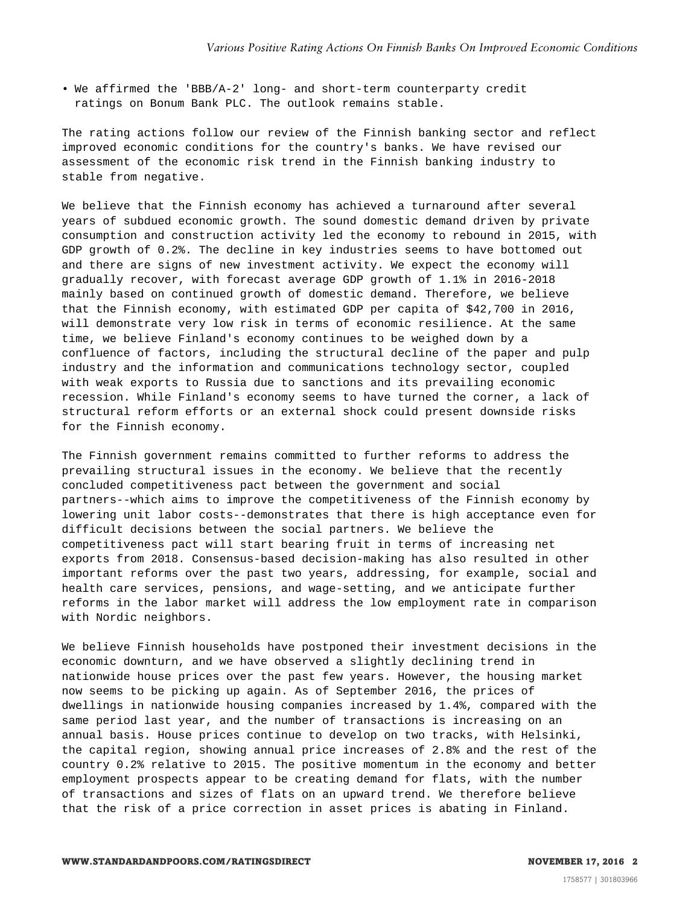• We affirmed the 'BBB/A-2' long- and short-term counterparty credit ratings on Bonum Bank PLC. The outlook remains stable.

The rating actions follow our review of the Finnish banking sector and reflect improved economic conditions for the country's banks. We have revised our assessment of the economic risk trend in the Finnish banking industry to stable from negative.

We believe that the Finnish economy has achieved a turnaround after several years of subdued economic growth. The sound domestic demand driven by private consumption and construction activity led the economy to rebound in 2015, with GDP growth of 0.2%. The decline in key industries seems to have bottomed out and there are signs of new investment activity. We expect the economy will gradually recover, with forecast average GDP growth of 1.1% in 2016-2018 mainly based on continued growth of domestic demand. Therefore, we believe that the Finnish economy, with estimated GDP per capita of \$42,700 in 2016, will demonstrate very low risk in terms of economic resilience. At the same time, we believe Finland's economy continues to be weighed down by a confluence of factors, including the structural decline of the paper and pulp industry and the information and communications technology sector, coupled with weak exports to Russia due to sanctions and its prevailing economic recession. While Finland's economy seems to have turned the corner, a lack of structural reform efforts or an external shock could present downside risks for the Finnish economy.

The Finnish government remains committed to further reforms to address the prevailing structural issues in the economy. We believe that the recently concluded competitiveness pact between the government and social partners--which aims to improve the competitiveness of the Finnish economy by lowering unit labor costs--demonstrates that there is high acceptance even for difficult decisions between the social partners. We believe the competitiveness pact will start bearing fruit in terms of increasing net exports from 2018. Consensus-based decision-making has also resulted in other important reforms over the past two years, addressing, for example, social and health care services, pensions, and wage-setting, and we anticipate further reforms in the labor market will address the low employment rate in comparison with Nordic neighbors.

We believe Finnish households have postponed their investment decisions in the economic downturn, and we have observed a slightly declining trend in nationwide house prices over the past few years. However, the housing market now seems to be picking up again. As of September 2016, the prices of dwellings in nationwide housing companies increased by 1.4%, compared with the same period last year, and the number of transactions is increasing on an annual basis. House prices continue to develop on two tracks, with Helsinki, the capital region, showing annual price increases of 2.8% and the rest of the country 0.2% relative to 2015. The positive momentum in the economy and better employment prospects appear to be creating demand for flats, with the number of transactions and sizes of flats on an upward trend. We therefore believe that the risk of a price correction in asset prices is abating in Finland.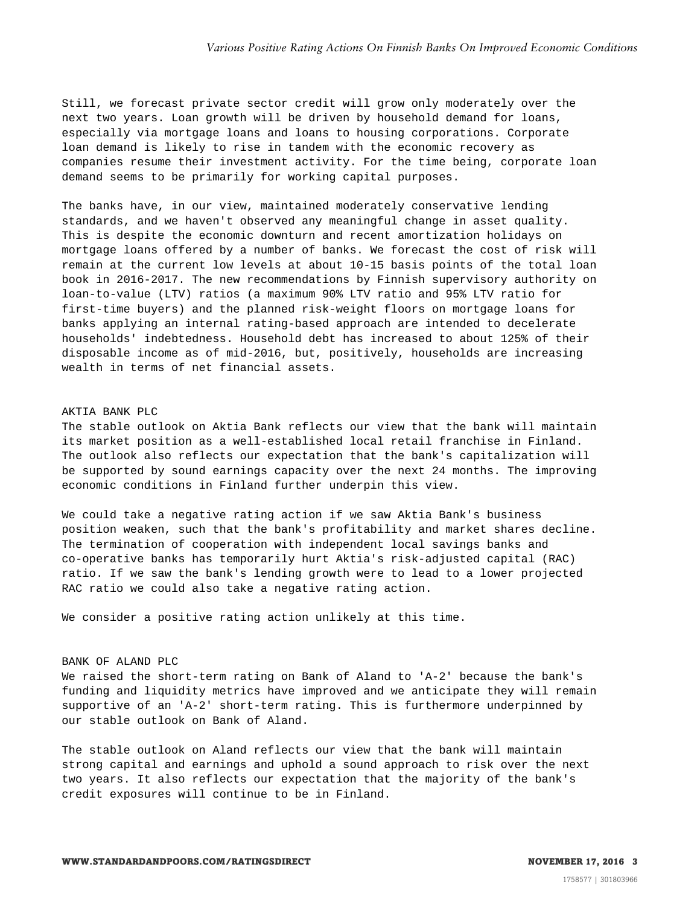Still, we forecast private sector credit will grow only moderately over the next two years. Loan growth will be driven by household demand for loans, especially via mortgage loans and loans to housing corporations. Corporate loan demand is likely to rise in tandem with the economic recovery as companies resume their investment activity. For the time being, corporate loan demand seems to be primarily for working capital purposes.

The banks have, in our view, maintained moderately conservative lending standards, and we haven't observed any meaningful change in asset quality. This is despite the economic downturn and recent amortization holidays on mortgage loans offered by a number of banks. We forecast the cost of risk will remain at the current low levels at about 10-15 basis points of the total loan book in 2016-2017. The new recommendations by Finnish supervisory authority on loan-to-value (LTV) ratios (a maximum 90% LTV ratio and 95% LTV ratio for first-time buyers) and the planned risk-weight floors on mortgage loans for banks applying an internal rating-based approach are intended to decelerate households' indebtedness. Household debt has increased to about 125% of their disposable income as of mid-2016, but, positively, households are increasing wealth in terms of net financial assets.

## AKTIA BANK PLC

The stable outlook on Aktia Bank reflects our view that the bank will maintain its market position as a well-established local retail franchise in Finland. The outlook also reflects our expectation that the bank's capitalization will be supported by sound earnings capacity over the next 24 months. The improving economic conditions in Finland further underpin this view.

We could take a negative rating action if we saw Aktia Bank's business position weaken, such that the bank's profitability and market shares decline. The termination of cooperation with independent local savings banks and co-operative banks has temporarily hurt Aktia's risk-adjusted capital (RAC) ratio. If we saw the bank's lending growth were to lead to a lower projected RAC ratio we could also take a negative rating action.

We consider a positive rating action unlikely at this time.

#### BANK OF ALAND PLC

We raised the short-term rating on Bank of Aland to 'A-2' because the bank's funding and liquidity metrics have improved and we anticipate they will remain supportive of an 'A-2' short-term rating. This is furthermore underpinned by our stable outlook on Bank of Aland.

The stable outlook on Aland reflects our view that the bank will maintain strong capital and earnings and uphold a sound approach to risk over the next two years. It also reflects our expectation that the majority of the bank's credit exposures will continue to be in Finland.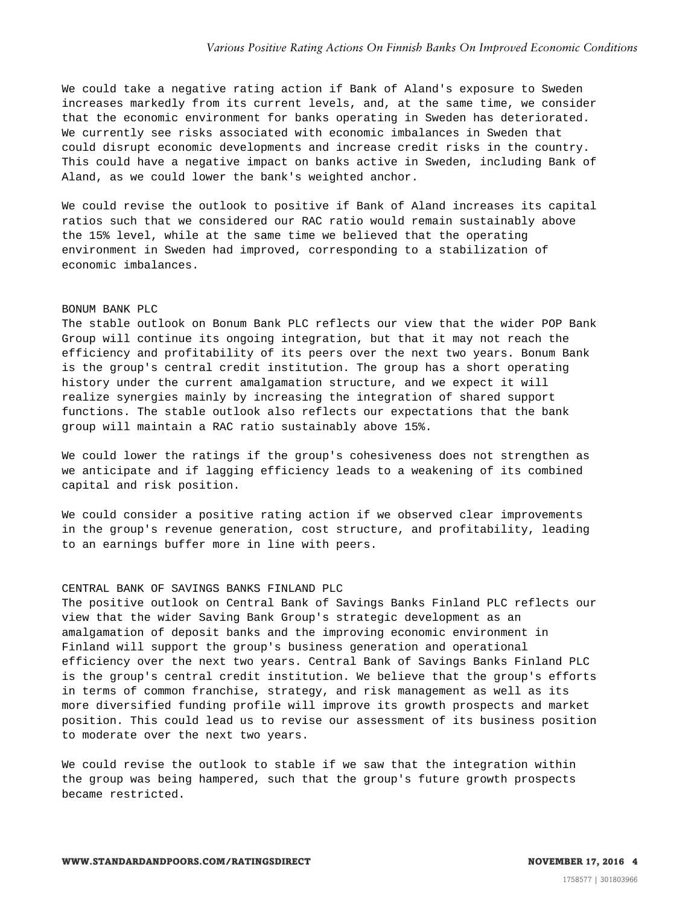We could take a negative rating action if Bank of Aland's exposure to Sweden increases markedly from its current levels, and, at the same time, we consider that the economic environment for banks operating in Sweden has deteriorated. We currently see risks associated with economic imbalances in Sweden that could disrupt economic developments and increase credit risks in the country. This could have a negative impact on banks active in Sweden, including Bank of Aland, as we could lower the bank's weighted anchor.

We could revise the outlook to positive if Bank of Aland increases its capital ratios such that we considered our RAC ratio would remain sustainably above the 15% level, while at the same time we believed that the operating environment in Sweden had improved, corresponding to a stabilization of economic imbalances.

#### BONUM BANK PLC

The stable outlook on Bonum Bank PLC reflects our view that the wider POP Bank Group will continue its ongoing integration, but that it may not reach the efficiency and profitability of its peers over the next two years. Bonum Bank is the group's central credit institution. The group has a short operating history under the current amalgamation structure, and we expect it will realize synergies mainly by increasing the integration of shared support functions. The stable outlook also reflects our expectations that the bank group will maintain a RAC ratio sustainably above 15%.

We could lower the ratings if the group's cohesiveness does not strengthen as we anticipate and if lagging efficiency leads to a weakening of its combined capital and risk position.

We could consider a positive rating action if we observed clear improvements in the group's revenue generation, cost structure, and profitability, leading to an earnings buffer more in line with peers.

# CENTRAL BANK OF SAVINGS BANKS FINLAND PLC

The positive outlook on Central Bank of Savings Banks Finland PLC reflects our view that the wider Saving Bank Group's strategic development as an amalgamation of deposit banks and the improving economic environment in Finland will support the group's business generation and operational efficiency over the next two years. Central Bank of Savings Banks Finland PLC is the group's central credit institution. We believe that the group's efforts in terms of common franchise, strategy, and risk management as well as its more diversified funding profile will improve its growth prospects and market position. This could lead us to revise our assessment of its business position to moderate over the next two years.

We could revise the outlook to stable if we saw that the integration within the group was being hampered, such that the group's future growth prospects became restricted.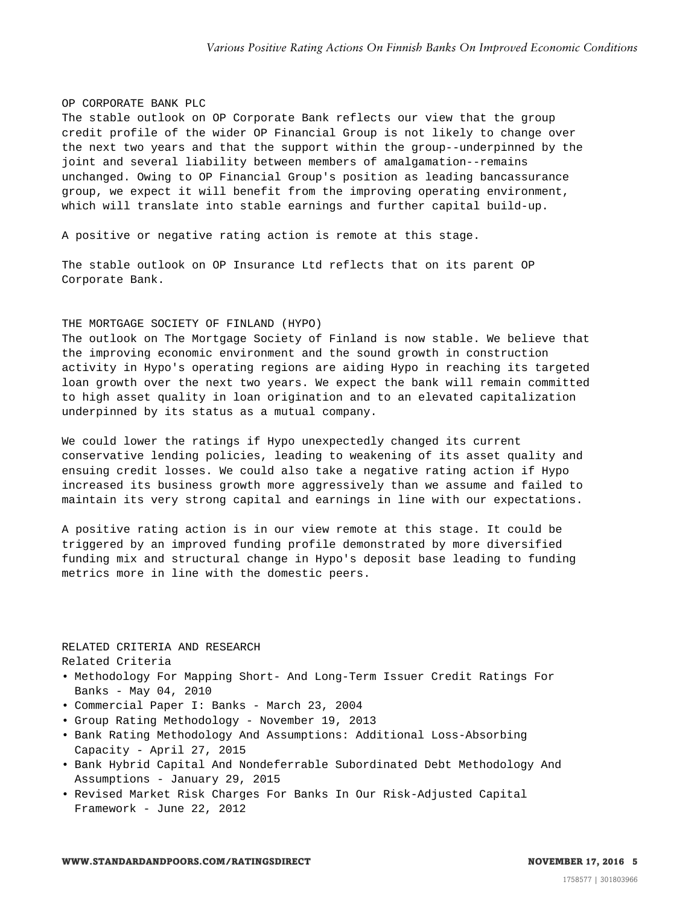#### OP CORPORATE BANK PLC

The stable outlook on OP Corporate Bank reflects our view that the group credit profile of the wider OP Financial Group is not likely to change over the next two years and that the support within the group--underpinned by the joint and several liability between members of amalgamation--remains unchanged. Owing to OP Financial Group's position as leading bancassurance group, we expect it will benefit from the improving operating environment, which will translate into stable earnings and further capital build-up.

A positive or negative rating action is remote at this stage.

The stable outlook on OP Insurance Ltd reflects that on its parent OP Corporate Bank.

# THE MORTGAGE SOCIETY OF FINLAND (HYPO)

The outlook on The Mortgage Society of Finland is now stable. We believe that the improving economic environment and the sound growth in construction activity in Hypo's operating regions are aiding Hypo in reaching its targeted loan growth over the next two years. We expect the bank will remain committed to high asset quality in loan origination and to an elevated capitalization underpinned by its status as a mutual company.

We could lower the ratings if Hypo unexpectedly changed its current conservative lending policies, leading to weakening of its asset quality and ensuing credit losses. We could also take a negative rating action if Hypo increased its business growth more aggressively than we assume and failed to maintain its very strong capital and earnings in line with our expectations.

A positive rating action is in our view remote at this stage. It could be triggered by an improved funding profile demonstrated by more diversified funding mix and structural change in Hypo's deposit base leading to funding metrics more in line with the domestic peers.

RELATED CRITERIA AND RESEARCH Related Criteria

- Methodology For Mapping Short- And Long-Term Issuer Credit Ratings For Banks - May 04, 2010
- Commercial Paper I: Banks March 23, 2004
- Group Rating Methodology November 19, 2013
- Bank Rating Methodology And Assumptions: Additional Loss-Absorbing Capacity - April 27, 2015
- Bank Hybrid Capital And Nondeferrable Subordinated Debt Methodology And Assumptions - January 29, 2015
- Revised Market Risk Charges For Banks In Our Risk-Adjusted Capital Framework - June 22, 2012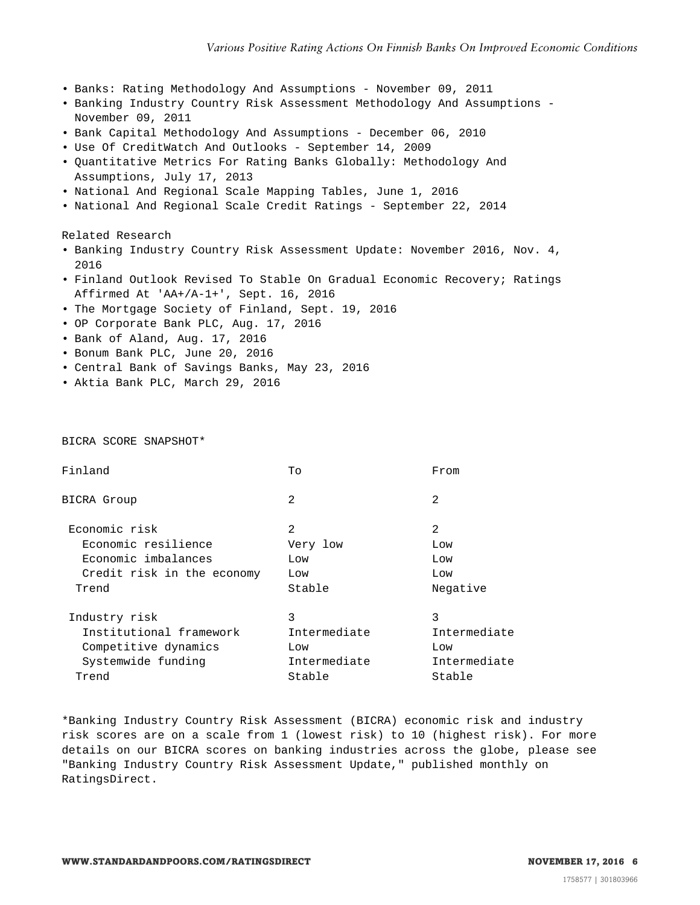- Banks: Rating Methodology And Assumptions November 09, 2011
- Banking Industry Country Risk Assessment Methodology And Assumptions November 09, 2011
- Bank Capital Methodology And Assumptions December 06, 2010
- Use Of CreditWatch And Outlooks September 14, 2009
- Quantitative Metrics For Rating Banks Globally: Methodology And Assumptions, July 17, 2013
- National And Regional Scale Mapping Tables, June 1, 2016
- National And Regional Scale Credit Ratings September 22, 2014

Related Research

- Banking Industry Country Risk Assessment Update: November 2016, Nov. 4, 2016
- Finland Outlook Revised To Stable On Gradual Economic Recovery; Ratings Affirmed At 'AA+/A-1+', Sept. 16, 2016
- The Mortgage Society of Finland, Sept. 19, 2016
- OP Corporate Bank PLC, Aug. 17, 2016
- Bank of Aland, Aug. 17, 2016
- Bonum Bank PLC, June 20, 2016
- Central Bank of Savings Banks, May 23, 2016
- Aktia Bank PLC, March 29, 2016

BICRA SCORE SNAPSHOT\*

| Finland                    | To           | From         |
|----------------------------|--------------|--------------|
| BICRA Group                | 2            | 2            |
| Economic risk              | 2            | 2            |
| Economic resilience        | Very low     | Low          |
| Economic imbalances        | Low          | Low          |
| Credit risk in the economy | Low          | Low          |
| Trend                      | Stable       | Negative     |
| Industry risk              | 3            | 3            |
| Institutional framework    | Intermediate | Intermediate |
| Competitive dynamics       | Low          | Low          |
| Systemwide funding         | Intermediate | Intermediate |
| Trend                      | Stable       | Stable       |
|                            |              |              |

\*Banking Industry Country Risk Assessment (BICRA) economic risk and industry risk scores are on a scale from 1 (lowest risk) to 10 (highest risk). For more details on our BICRA scores on banking industries across the globe, please see "Banking Industry Country Risk Assessment Update," published monthly on RatingsDirect.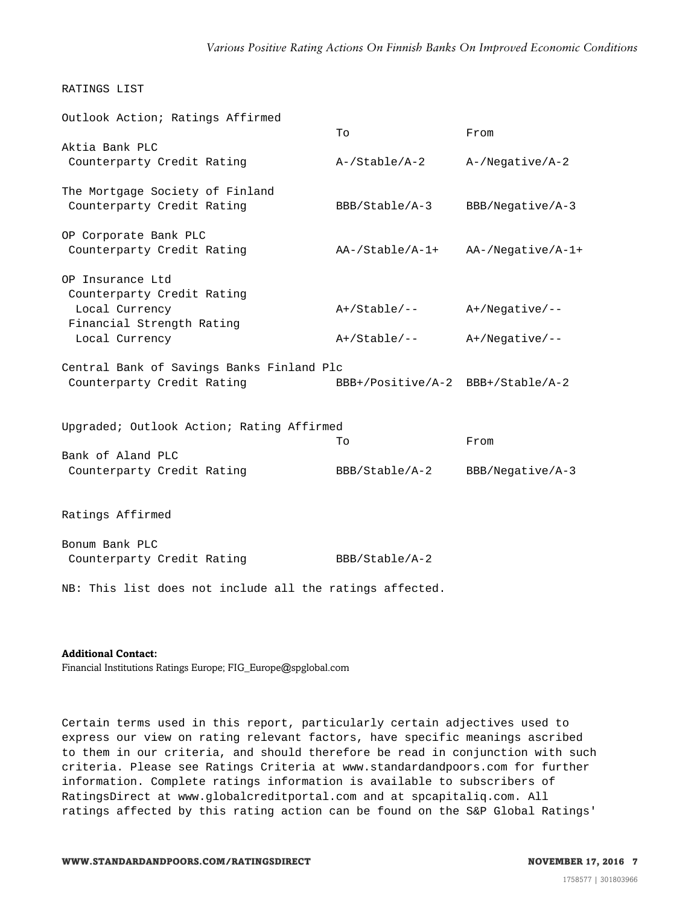# RATINGS LIST

| Outlook Action; Ratings Affirmed          |                                     |                    |  |
|-------------------------------------------|-------------------------------------|--------------------|--|
|                                           | To                                  | From               |  |
| Aktia Bank PLC                            |                                     |                    |  |
| Counterparty Credit Rating                | A-/Stable/A-2                       | $A$ -/Negative/A-2 |  |
| The Mortgage Society of Finland           |                                     |                    |  |
| Counterparty Credit Rating                | BBB/Stable/A-3                      | BBB/Negative/A-3   |  |
|                                           |                                     |                    |  |
| OP Corporate Bank PLC                     |                                     |                    |  |
| Counterparty Credit Rating                | AA-/Stable/A-1+                     | AA-/Negative/A-1+  |  |
| OP Insurance Ltd                          |                                     |                    |  |
| Counterparty Credit Rating                |                                     |                    |  |
| Local Currency                            | A+/Stable/--                        | $A+/Negative/--$   |  |
| Financial Strength Rating                 |                                     |                    |  |
| Local Currency                            | $A+ /$ Stable/--                    | $A+/Negative/--$   |  |
| Central Bank of Savings Banks Finland Plc |                                     |                    |  |
| Counterparty Credit Rating                | $BBB+/Positive/A-2 BBB+/Stable/A-2$ |                    |  |
|                                           |                                     |                    |  |
|                                           |                                     |                    |  |
| Upgraded; Outlook Action; Rating Affirmed | To                                  | From               |  |
| Bank of Aland PLC                         |                                     |                    |  |
| Counterparty Credit Rating                | BBB/Stable/A-2                      | BBB/Negative/A-3   |  |
|                                           |                                     |                    |  |
| Ratings Affirmed                          |                                     |                    |  |
|                                           |                                     |                    |  |
| Bonum Bank PLC                            |                                     |                    |  |
| Counterparty Credit Rating                | BBB/Stable/A-2                      |                    |  |

NB: This list does not include all the ratings affected.

#### **Additional Contact:**

Financial Institutions Ratings Europe; FIG\_Europe@spglobal.com

Certain terms used in this report, particularly certain adjectives used to express our view on rating relevant factors, have specific meanings ascribed to them in our criteria, and should therefore be read in conjunction with such criteria. Please see Ratings Criteria at www.standardandpoors.com for further information. Complete ratings information is available to subscribers of RatingsDirect at www.globalcreditportal.com and at spcapitaliq.com. All ratings affected by this rating action can be found on the S&P Global Ratings'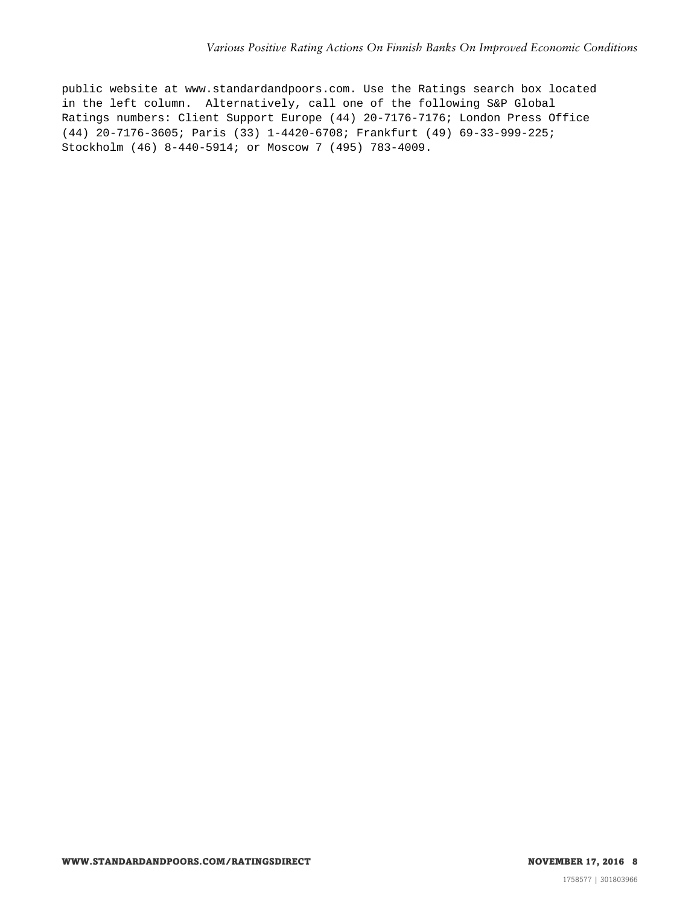public website at www.standardandpoors.com. Use the Ratings search box located in the left column. Alternatively, call one of the following S&P Global Ratings numbers: Client Support Europe (44) 20-7176-7176; London Press Office (44) 20-7176-3605; Paris (33) 1-4420-6708; Frankfurt (49) 69-33-999-225; Stockholm (46) 8-440-5914; or Moscow 7 (495) 783-4009.